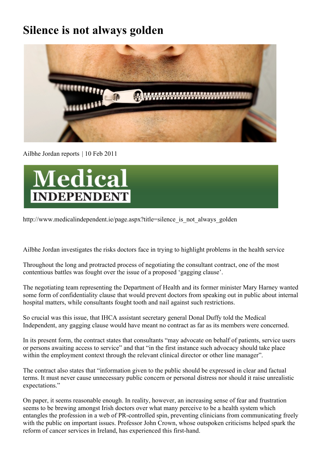# **Silence is not always golden**



Ailbhe Jordan reports | 10 Feb 2011



http://www.medicalindependent.ie/page.aspx?title=silence\_is\_not\_always\_golden

Ailbhe Jordan investigates the risks doctors face in trying to highlight problems in the health service

Throughout the long and protracted process of negotiating the consultant contract, one of the most contentious battles was fought over the issue of a proposed 'gagging clause'.

The negotiating team representing the Department of Health and its former minister Mary Harney wanted some form of confidentiality clause that would prevent doctors from speaking out in public about internal hospital matters, while consultants fought tooth and nail against such restrictions.

So crucial was this issue, that IHCA assistant secretary general Donal Duffy told the Medical Independent, any gagging clause would have meant no contract as far as its members were concerned.

In its present form, the contract states that consultants "may advocate on behalf of patients, service users or persons awaiting access to service" and that "in the first instance such advocacy should take place within the employment context through the relevant clinical director or other line manager".

The contract also states that "information given to the public should be expressed in clear and factual terms. It must never cause unnecessary public concern or personal distress nor should it raise unrealistic expectations."

On paper, it seems reasonable enough. In reality, however, an increasing sense of fear and frustration seems to be brewing amongst Irish doctors over what many perceive to be a health system which entangles the profession in a web of PR-controlled spin, preventing clinicians from communicating freely with the public on important issues. Professor John Crown, whose outspoken criticisms helped spark the reform of cancer services in Ireland, has experienced this first-hand.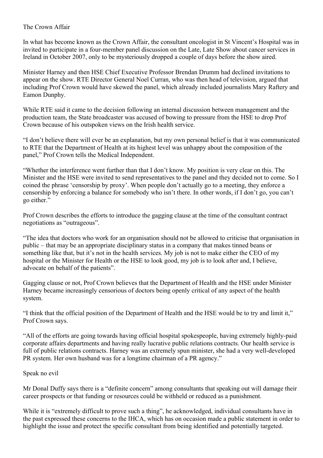### The Crown Affair

In what has become known as the Crown Affair, the consultant oncologist in St Vincent's Hospital was in invited to participate in a four-member panel discussion on the Late, Late Show about cancer services in Ireland in October 2007, only to be mysteriously dropped a couple of days before the show aired.

Minister Harney and then HSE Chief Executive Professor Brendan Drumm had declined invitations to appear on the show. RTE Director General Noel Curran, who was then head of television, argued that including Prof Crown would have skewed the panel, which already included journalists Mary Raftery and Eamon Dunphy.

While RTE said it came to the decision following an internal discussion between management and the production team, the State broadcaster was accused of bowing to pressure from the HSE to drop Prof Crown because of his outspoken views on the Irish health service.

"I don't believe there will ever be an explanation, but my own personal belief is that it was communicated to RTE that the Department of Health at its highest level was unhappy about the composition of the panel," Prof Crown tells the Medical Independent.

"Whether the interference went further than that I don't know. My position is very clear on this. The Minister and the HSE were invited to send representatives to the panel and they decided not to come. So I coined the phrase 'censorship by proxy'. When people don't actually go to a meeting, they enforce a censorship by enforcing a balance for somebody who isn't there. In other words, if I don't go, you can't go either."

Prof Crown describes the efforts to introduce the gagging clause at the time of the consultant contract negotiations as "outrageous".

"The idea that doctors who work for an organisation should not be allowed to criticise that organisation in public – that may be an appropriate disciplinary status in a company that makes tinned beans or something like that, but it's not in the health services. My job is not to make either the CEO of my hospital or the Minister for Health or the HSE to look good, my job is to look after and, I believe, advocate on behalf of the patients".

Gagging clause or not, Prof Crown believes that the Department of Health and the HSE under Minister Harney became increasingly censorious of doctors being openly critical of any aspect of the health system.

"I think that the official position of the Department of Health and the HSE would be to try and limit it," Prof Crown says.

"All of the efforts are going towards having official hospital spokespeople, having extremely highly-paid corporate affairs departments and having really lucrative public relations contracts. Our health service is full of public relations contracts. Harney was an extremely spun minister, she had a very well-developed PR system. Her own husband was for a longtime chairman of a PR agency."

### Speak no evil

Mr Donal Duffy says there is a "definite concern" among consultants that speaking out will damage their career prospects or that funding or resources could be withheld or reduced as a punishment.

While it is "extremely difficult to prove such a thing", he acknowledged, individual consultants have in the past expressed these concerns to the IHCA, which has on occasion made a public statement in order to highlight the issue and protect the specific consultant from being identified and potentially targeted.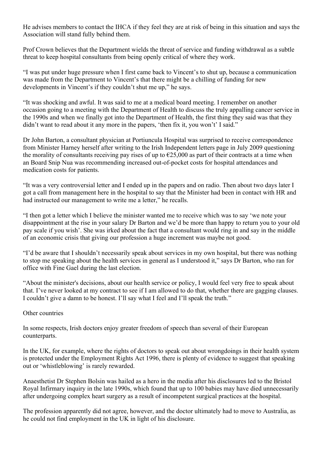He advises members to contact the IHCA if they feel they are at risk of being in this situation and says the Association will stand fully behind them.

Prof Crown believes that the Department wields the threat of service and funding withdrawal as a subtle threat to keep hospital consultants from being openly critical of where they work.

"I was put under huge pressure when I first came back to Vincent's to shut up, because a communication was made from the Department to Vincent's that there might be a chilling of funding for new developments in Vincent's if they couldn't shut me up," he says.

"It was shocking and awful. It was said to me at a medical board meeting. I remember on another occasion going to a meeting with the Department of Health to discuss the truly appalling cancer service in the 1990s and when we finally got into the Department of Health, the first thing they said was that they didn't want to read about it any more in the papers, 'then fix it, you won't' I said."

Dr John Barton, a consultant physician at Portiuncula Hospital was surprised to receive correspondence from Minister Harney herself after writing to the Irish Independent letters page in July 2009 questioning the morality of consultants receiving pay rises of up to  $\epsilon$ 25,000 as part of their contracts at a time when an Board Snip Nua was recommending increased out-of-pocket costs for hospital attendances and medication costs for patients.

"It was a very controversial letter and I ended up in the papers and on radio. Then about two days later I got a call from management here in the hospital to say that the Minister had been in contact with HR and had instructed our management to write me a letter," he recalls.

"I then got a letter which I believe the minister wanted me to receive which was to say 'we note your disappointment at the rise in your salary Dr Barton and we'd be more than happy to return you to your old pay scale if you wish'. She was irked about the fact that a consultant would ring in and say in the middle of an economic crisis that giving our profession a huge increment was maybe not good.

"I'd be aware that I shouldn't necessarily speak about services in my own hospital, but there was nothing to stop me speaking about the health services in general as I understood it," says Dr Barton, who ran for office with Fine Gael during the last election.

"About the minister's decisions, about our health service or policy, I would feel very free to speak about that. I've never looked at my contract to see if I am allowed to do that, whether there are gagging clauses. I couldn't give a damn to be honest. I'll say what I feel and I'll speak the truth."

### Other countries

In some respects, Irish doctors enjoy greater freedom of speech than several of their European counterparts.

In the UK, for example, where the rights of doctors to speak out about wrongdoings in their health system is protected under the Employment Rights Act 1996, there is plenty of evidence to suggest that speaking out or 'whistleblowing' is rarely rewarded.

Anaesthetist Dr Stephen Bolsin was hailed as a hero in the media after his disclosures led to the Bristol Royal Infirmary inquiry in the late 1990s, which found that up to 100 babies may have died unnecessarily after undergoing complex heart surgery as a result of incompetent surgical practices at the hospital.

The profession apparently did not agree, however, and the doctor ultimately had to move to Australia, as he could not find employment in the UK in light of his disclosure.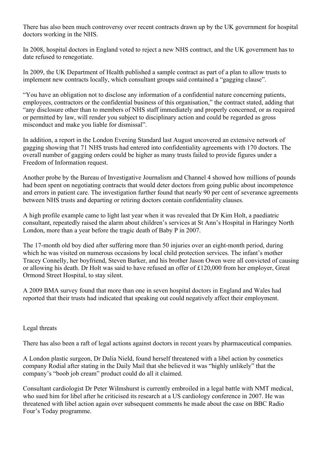There has also been much controversy over recent contracts drawn up by the UK government for hospital doctors working in the NHS.

In 2008, hospital doctors in England voted to reject a new NHS contract, and the UK government has to date refused to renegotiate.

In 2009, the UK Department of Health published a sample contract as part of a plan to allow trusts to implement new contracts locally, which consultant groups said contained a "gagging clause".

"You have an obligation not to disclose any information of a confidential nature concerning patients, employees, contractors or the confidential business of this organisation," the contract stated, adding that "any disclosure other than to members of NHS staff immediately and properly concerned, or as required or permitted by law, will render you subject to disciplinary action and could be regarded as gross misconduct and make you liable for dismissal".

In addition, a report in the London Evening Standard last August uncovered an extensive network of gagging showing that 71 NHS trusts had entered into confidentiality agreements with 170 doctors. The overall number of gagging orders could be higher as many trusts failed to provide figures under a Freedom of Information request.

Another probe by the Bureau of Investigative Journalism and Channel 4 showed how millions of pounds had been spent on negotiating contracts that would deter doctors from going public about incompetence and errors in patient care. The investigation further found that nearly 90 per cent of severance agreements between NHS trusts and departing or retiring doctors contain confidentiality clauses.

A high profile example came to light last year when it was revealed that Dr Kim Holt, a paediatric consultant, repeatedly raised the alarm about children's services at St Ann's Hospital in Haringey North London, more than a year before the tragic death of Baby P in 2007.

The 17-month old boy died after suffering more than 50 injuries over an eight-month period, during which he was visited on numerous occasions by local child protection services. The infant's mother Tracey Connelly, her boyfriend, Steven Barker, and his brother Jason Owen were all convicted of causing or allowing his death. Dr Holt was said to have refused an offer of £120,000 from her employer, Great Ormond Street Hospital, to stay silent.

A 2009 BMA survey found that more than one in seven hospital doctors in England and Wales had reported that their trusts had indicated that speaking out could negatively affect their employment.

### Legal threats

There has also been a raft of legal actions against doctors in recent years by pharmaceutical companies.

A London plastic surgeon, Dr Dalia Nield, found herself threatened with a libel action by cosmetics company Rodial after stating in the Daily Mail that she believed it was "highly unlikely" that the company's "boob job cream" product could do all it claimed.

Consultant cardiologist Dr Peter Wilmshurst is currently embroiled in a legal battle with NMT medical, who sued him for libel after he criticised its research at a US cardiology conference in 2007. He was threatened with libel action again over subsequent comments he made about the case on BBC Radio Four's Today programme.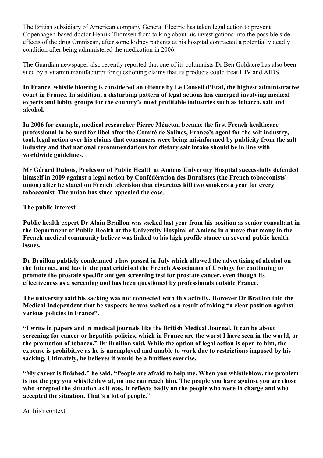The British subsidiary of American company General Electric has taken legal action to prevent Copenhagen-based doctor Henrik Thomsen from talking about his investigations into the possible sideeffects of the drug Omniscan, after some kidney patients at his hospital contracted a potentially deadly condition after being administered the medication in 2006.

The Guardian newspaper also recently reported that one of its columnists Dr Ben Goldacre has also been sued by a vitamin manufacturer for questioning claims that its products could treat HIV and AIDS.

**In France, whistle blowing is considered an offence by Le Conseil d'Etat, the highest administrative court in France. In addition, a disturbing pattern of legal actions has emerged involving medical experts and lobby groups for the country's most profitable industries such as tobacco, salt and alcohol.**

**In 2006 for example, medical researcher Pierre Méneton became the first French healthcare professional to be sued for libel after the Comité de Salines, France's agent for the salt industry, took legal action over his claims that consumers were being misinformed by publicity from the salt industry and that national recommendations for dietary salt intake should be in line with worldwide guidelines.**

**Mr Gérard Dubois, Professor of Public Health at Amiens University Hospital successfully defended himself in 2009 against a legal action by Confédération des Buralistes (the French tobacconists' union) after he stated on French television that cigarettes kill two smokers a year for every tobacconist. The union has since appealed the case.**

### **The public interest**

**Public health expert Dr Alain Braillon was sacked last year from his position as senior consultant in the Department of Public Health at the University Hospital of Amiens in a move that many in the French medical community believe was linked to his high profile stance on several public health issues.**

**Dr Braillon publicly condemned a law passed in July which allowed the advertising of alcohol on the Internet, and has in the past criticised the French Association of Urology for continuing to promote the prostate specific antigen screening test for prostate cancer, even though its effectiveness as a screening tool has been questioned by professionals outside France.**

**The university said his sacking was not connected with this activity. However Dr Braillon told the Medical Independent that he suspects he was sacked as a result of taking "a clear position against various policies in France".**

**"I write in papers and in medical journals like the British Medical Journal. It can be about screening for cancer or hepatitis policies, which in France are the worst I have seen in the world, or the promotion of tobacco," Dr Braillon said. While the option of legal action is open to him, the expense is prohibitive as he is unemployed and unable to work due to restrictions imposed by his sacking. Ultimately, he believes it would be a fruitless exercise.**

**"My career is finished," he said. "People are afraid to help me. When you whistleblow, the problem is not the guy you whistleblow at, no one can reach him. The people you have against you are those who accepted the situation as it was. It reflects badly on the people who were in charge and who accepted the situation. That's a lot of people."**

An Irish context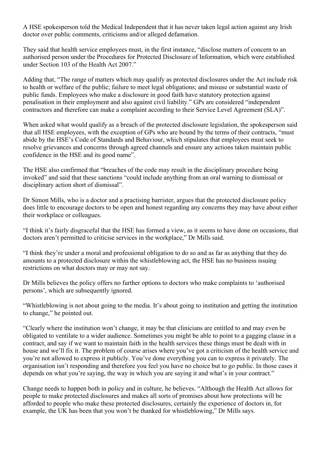A HSE spokesperson told the Medical Independent that it has never taken legal action against any Irish doctor over public comments, criticisms and/or alleged defamation.

They said that health service employees must, in the first instance, "disclose matters of concern to an authorised person under the Procedures for Protected Disclosure of Information, which were established under Section 103 of the Health Act 2007."

Adding that, "The range of matters which may qualify as protected disclosures under the Act include risk to health or welfare of the public; failure to meet legal obligations; and misuse or substantial waste of public funds. Employees who make a disclosure in good faith have statutory protection against penalisation in their employment and also against civil liability." GPs are considered "independent contractors and therefore can make a complaint according to their Service Level Agreement (SLA)".

When asked what would qualify as a breach of the protected disclosure legislation, the spokesperson said that all HSE employees, with the exception of GPs who are bound by the terms of their contracts, "must abide by the HSE's Code of Standards and Behaviour, which stipulates that employees must seek to resolve grievances and concerns through agreed channels and ensure any actions taken maintain public confidence in the HSE and its good name".

The HSE also confirmed that "breaches of the code may result in the disciplinary procedure being invoked" and said that these sanctions "could include anything from an oral warning to dismissal or disciplinary action short of dismissal".

Dr Simon Mills, who is a doctor and a practising barrister, argues that the protected disclosure policy does little to encourage doctors to be open and honest regarding any concerns they may have about either their workplace or colleagues.

"I think it's fairly disgraceful that the HSE has formed a view, as it seems to have done on occasions, that doctors aren't permitted to criticise services in the workplace," Dr Mills said.

"I think they're under a moral and professional obligation to do so and as far as anything that they do amounts to a protected disclosure within the whistleblowing act, the HSE has no business issuing restrictions on what doctors may or may not say.

Dr Mills believes the policy offers no further options to doctors who make complaints to 'authorised persons', which are subsequently ignored.

"Whistleblowing is not about going to the media. It's about going to institution and getting the institution to change," he pointed out.

"Clearly where the institution won't change, it may be that clinicians are entitled to and may even be obligated to ventilate to a wider audience. Sometimes you might be able to point to a gagging clause in a contract, and say if we want to maintain faith in the health services these things must be dealt with in house and we'll fix it. The problem of course arises where you've got a criticism of the health service and you're not allowed to express it publicly. You've done everything you can to express it privately. The organisation isn't responding and therefore you feel you have no choice but to go public. In those cases it depends on what you're saying, the way in which you are saying it and what's in your contract."

Change needs to happen both in policy and in culture, he believes. "Although the Health Act allows for people to make protected disclosures and makes all sorts of promises about how protections will be afforded to people who make these protected disclosures, certainly the experience of doctors in, for example, the UK has been that you won't be thanked for whistleblowing," Dr Mills says.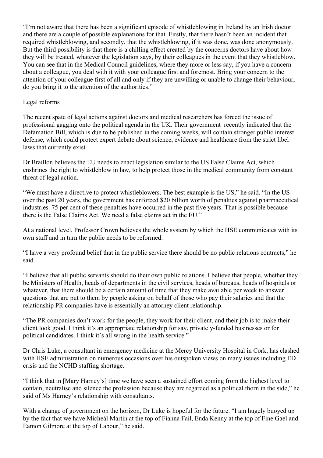"I'm not aware that there has been a significant episode of whistleblowing in Ireland by an Irish doctor and there are a couple of possible explanations for that. Firstly, that there hasn't been an incident that required whistleblowing, and secondly, that the whistleblowing, if it was done, was done anonymously. But the third possibility is that there is a chilling effect created by the concerns doctors have about how they will be treated, whatever the legislation says, by their colleagues in the event that they whistleblow. You can see that in the Medical Council guidelines, where they more or less say, if you have a concern about a colleague, you deal with it with your colleague first and foremost. Bring your concern to the attention of your colleague first of all and only if they are unwilling or unable to change their behaviour, do you bring it to the attention of the authorities."

## Legal reforms

The recent spate of legal actions against doctors and medical researchers has forced the issue of professional gagging onto the political agenda in the UK. Their government recently indicated that the Defamation Bill, which is due to be published in the coming weeks, will contain stronger public interest defense, which could protect expert debate about science, evidence and healthcare from the strict libel laws that currently exist.

Dr Braillon believes the EU needs to enact legislation similar to the US False Claims Act, which enshrines the right to whistleblow in law, to help protect those in the medical community from constant threat of legal action.

"We must have a directive to protect whistleblowers. The best example is the US," he said. "In the US over the past 20 years, the government has enforced \$20 billion worth of penalties against pharmaceutical industries. 75 per cent of these penalties have occurred in the past five years. That is possible because there is the False Claims Act. We need a false claims act in the EU."

At a national level, Professor Crown believes the whole system by which the HSE communicates with its own staff and in turn the public needs to be reformed.

"I have a very profound belief that in the public service there should be no public relations contracts," he said.

"I believe that all public servants should do their own public relations. I believe that people, whether they be Ministers of Health, heads of departments in the civil services, heads of bureaus, heads of hospitals or whatever, that there should be a certain amount of time that they make available per week to answer questions that are put to them by people asking on behalf of those who pay their salaries and that the relationship PR companies have is essentially an attorney client relationship.

"The PR companies don't work for the people, they work for their client, and their job is to make their client look good. I think it's an appropriate relationship for say, privately-funded businesses or for political candidates. I think it's all wrong in the health service."

Dr Chris Luke, a consultant in emergency medicine at the Mercy University Hospital in Cork, has clashed with HSE administration on numerous occasions over his outspoken views on many issues including ED crisis and the NCHD staffing shortage.

"I think that in [Mary Harney's] time we have seen a sustained effort coming from the highest level to contain, neutralise and silence the profession because they are regarded as a political thorn in the side," he said of Ms Harney's relationship with consultants.

With a change of government on the horizon, Dr Luke is hopeful for the future. "I am hugely buoyed up by the fact that we have Micheál Martin at the top of Fianna Fail, Enda Kenny at the top of Fine Gael and Eamon Gilmore at the top of Labour," he said.